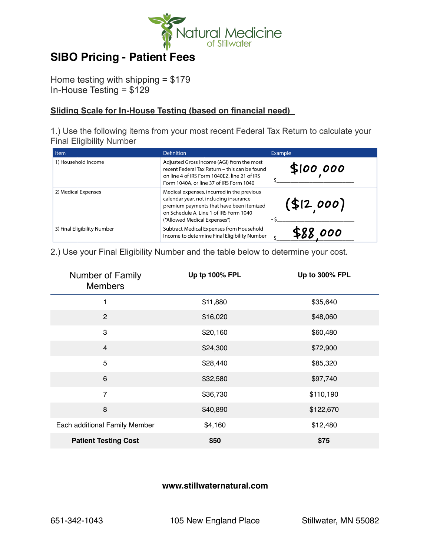

## **SIBO Pricing - Patient Fees**

Home testing with shipping = \$179 In-House Testing = \$129

## **Sliding Scale for In-House Testing (based on financial need)**

1.) Use the following items from your most recent Federal Tax Return to calculate your Final Eligibility Number

| Item                        | Definition                                                                                                                                                                                                 | Example    |
|-----------------------------|------------------------------------------------------------------------------------------------------------------------------------------------------------------------------------------------------------|------------|
| 1) Household Income         | Adjusted Gross Income (AGI) from the most<br>recent Federal Tax Return - this can be found<br>on line 4 of IRS Form 1040EZ, line 21 of IRS<br>Form 1040A, or line 37 of IRS Form 1040                      | \$100,000  |
| 2) Medical Expenses         | Medical expenses, incurred in the previous<br>calendar year, not including insurance<br>premium payments that have been itemized<br>on Schedule A, Line 1 of IRS Form 1040<br>("Allowed Medical Expenses") | (\$12,000) |
| 3) Final Eligibility Number | Subtract Medical Expenses from Household<br>Income to determine Final Eligibility Number                                                                                                                   | 000        |

2.) Use your Final Eligibility Number and the table below to determine your cost.

| Number of Family<br><b>Members</b> | Up tp 100% FPL | Up to 300% FPL |
|------------------------------------|----------------|----------------|
| 1                                  | \$11,880       | \$35,640       |
| $\mathbf{2}$                       | \$16,020       | \$48,060       |
| 3                                  | \$20,160       | \$60,480       |
| $\overline{\mathbf{4}}$            | \$24,300       | \$72,900       |
| 5                                  | \$28,440       | \$85,320       |
| $\,6$                              | \$32,580       | \$97,740       |
| $\overline{7}$                     | \$36,730       | \$110,190      |
| 8                                  | \$40,890       | \$122,670      |
| Each additional Family Member      | \$4,160        | \$12,480       |
| <b>Patient Testing Cost</b>        | \$50           | \$75           |

## **www.stillwaternatural.com**